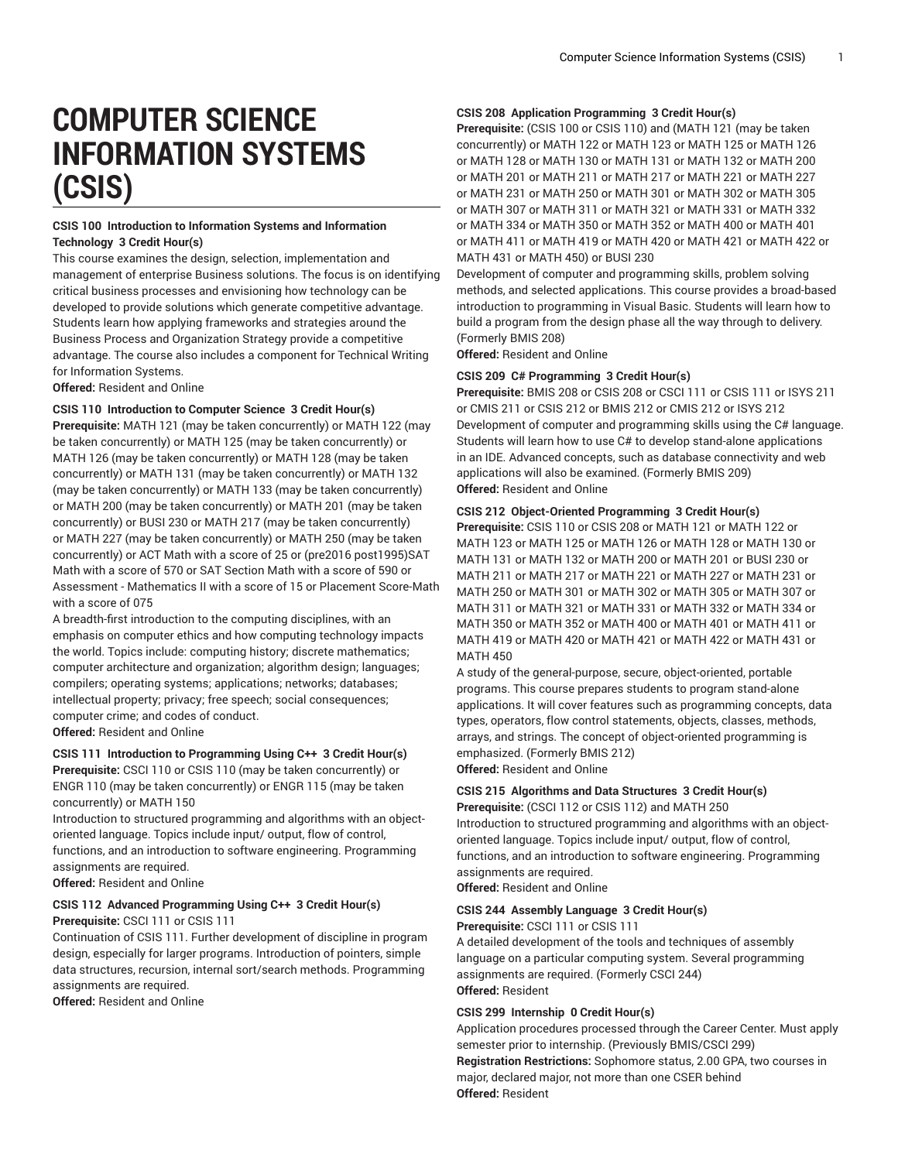# **COMPUTER SCIENCE INFORMATION SYSTEMS (CSIS)**

# **CSIS 100 Introduction to Information Systems and Information Technology 3 Credit Hour(s)**

This course examines the design, selection, implementation and management of enterprise Business solutions. The focus is on identifying critical business processes and envisioning how technology can be developed to provide solutions which generate competitive advantage. Students learn how applying frameworks and strategies around the Business Process and Organization Strategy provide a competitive advantage. The course also includes a component for Technical Writing for Information Systems.

**Offered:** Resident and Online

# **CSIS 110 Introduction to Computer Science 3 Credit Hour(s)**

**Prerequisite:** MATH 121 (may be taken concurrently) or MATH 122 (may be taken concurrently) or MATH 125 (may be taken concurrently) or MATH 126 (may be taken concurrently) or MATH 128 (may be taken concurrently) or MATH 131 (may be taken concurrently) or MATH 132 (may be taken concurrently) or MATH 133 (may be taken concurrently) or MATH 200 (may be taken concurrently) or MATH 201 (may be taken concurrently) or BUSI 230 or MATH 217 (may be taken concurrently) or MATH 227 (may be taken concurrently) or MATH 250 (may be taken concurrently) or ACT Math with a score of 25 or (pre2016 post1995)SAT Math with a score of 570 or SAT Section Math with a score of 590 or Assessment - Mathematics II with a score of 15 or Placement Score-Math with a score of 075

A breadth-first introduction to the computing disciplines, with an emphasis on computer ethics and how computing technology impacts the world. Topics include: computing history; discrete mathematics; computer architecture and organization; algorithm design; languages; compilers; operating systems; applications; networks; databases; intellectual property; privacy; free speech; social consequences; computer crime; and codes of conduct.

**Offered:** Resident and Online

# **CSIS 111 Introduction to Programming Using C++ 3 Credit Hour(s)**

**Prerequisite:** CSCI 110 or CSIS 110 (may be taken concurrently) or ENGR 110 (may be taken concurrently) or ENGR 115 (may be taken concurrently) or MATH 150

Introduction to structured programming and algorithms with an objectoriented language. Topics include input/ output, flow of control, functions, and an introduction to software engineering. Programming assignments are required.

**Offered:** Resident and Online

#### **CSIS 112 Advanced Programming Using C++ 3 Credit Hour(s) Prerequisite:** CSCI 111 or CSIS 111

Continuation of CSIS 111. Further development of discipline in program design, especially for larger programs. Introduction of pointers, simple data structures, recursion, internal sort/search methods. Programming assignments are required.

**Offered:** Resident and Online

# **CSIS 208 Application Programming 3 Credit Hour(s)**

**Prerequisite:** (CSIS 100 or CSIS 110) and (MATH 121 (may be taken concurrently) or MATH 122 or MATH 123 or MATH 125 or MATH 126 or MATH 128 or MATH 130 or MATH 131 or MATH 132 or MATH 200 or MATH 201 or MATH 211 or MATH 217 or MATH 221 or MATH 227 or MATH 231 or MATH 250 or MATH 301 or MATH 302 or MATH 305 or MATH 307 or MATH 311 or MATH 321 or MATH 331 or MATH 332 or MATH 334 or MATH 350 or MATH 352 or MATH 400 or MATH 401 or MATH 411 or MATH 419 or MATH 420 or MATH 421 or MATH 422 or MATH 431 or MATH 450) or BUSI 230

Development of computer and programming skills, problem solving methods, and selected applications. This course provides a broad-based introduction to programming in Visual Basic. Students will learn how to build a program from the design phase all the way through to delivery. (Formerly BMIS 208)

**Offered:** Resident and Online

#### **CSIS 209 C# Programming 3 Credit Hour(s)**

**Prerequisite:** BMIS 208 or CSIS 208 or CSCI 111 or CSIS 111 or ISYS 211 or CMIS 211 or CSIS 212 or BMIS 212 or CMIS 212 or ISYS 212 Development of computer and programming skills using the C# language. Students will learn how to use C# to develop stand-alone applications in an IDE. Advanced concepts, such as database connectivity and web applications will also be examined. (Formerly BMIS 209) **Offered:** Resident and Online

# **CSIS 212 Object-Oriented Programming 3 Credit Hour(s)**

**Prerequisite:** CSIS 110 or CSIS 208 or MATH 121 or MATH 122 or MATH 123 or MATH 125 or MATH 126 or MATH 128 or MATH 130 or MATH 131 or MATH 132 or MATH 200 or MATH 201 or BUSI 230 or MATH 211 or MATH 217 or MATH 221 or MATH 227 or MATH 231 or MATH 250 or MATH 301 or MATH 302 or MATH 305 or MATH 307 or MATH 311 or MATH 321 or MATH 331 or MATH 332 or MATH 334 or MATH 350 or MATH 352 or MATH 400 or MATH 401 or MATH 411 or MATH 419 or MATH 420 or MATH 421 or MATH 422 or MATH 431 or MATH 450

A study of the general-purpose, secure, object-oriented, portable programs. This course prepares students to program stand-alone applications. It will cover features such as programming concepts, data types, operators, flow control statements, objects, classes, methods, arrays, and strings. The concept of object-oriented programming is emphasized. (Formerly BMIS 212)

**Offered:** Resident and Online

# **CSIS 215 Algorithms and Data Structures 3 Credit Hour(s) Prerequisite:** (CSCI 112 or CSIS 112) and MATH 250

Introduction to structured programming and algorithms with an objectoriented language. Topics include input/ output, flow of control, functions, and an introduction to software engineering. Programming assignments are required.

**Offered:** Resident and Online

# **CSIS 244 Assembly Language 3 Credit Hour(s)**

**Prerequisite:** CSCI 111 or CSIS 111

A detailed development of the tools and techniques of assembly language on a particular computing system. Several programming assignments are required. (Formerly CSCI 244) **Offered:** Resident

#### **CSIS 299 Internship 0 Credit Hour(s)**

Application procedures processed through the Career Center. Must apply semester prior to internship. (Previously BMIS/CSCI 299) **Registration Restrictions:** Sophomore status, 2.00 GPA, two courses in major, declared major, not more than one CSER behind

**Offered:** Resident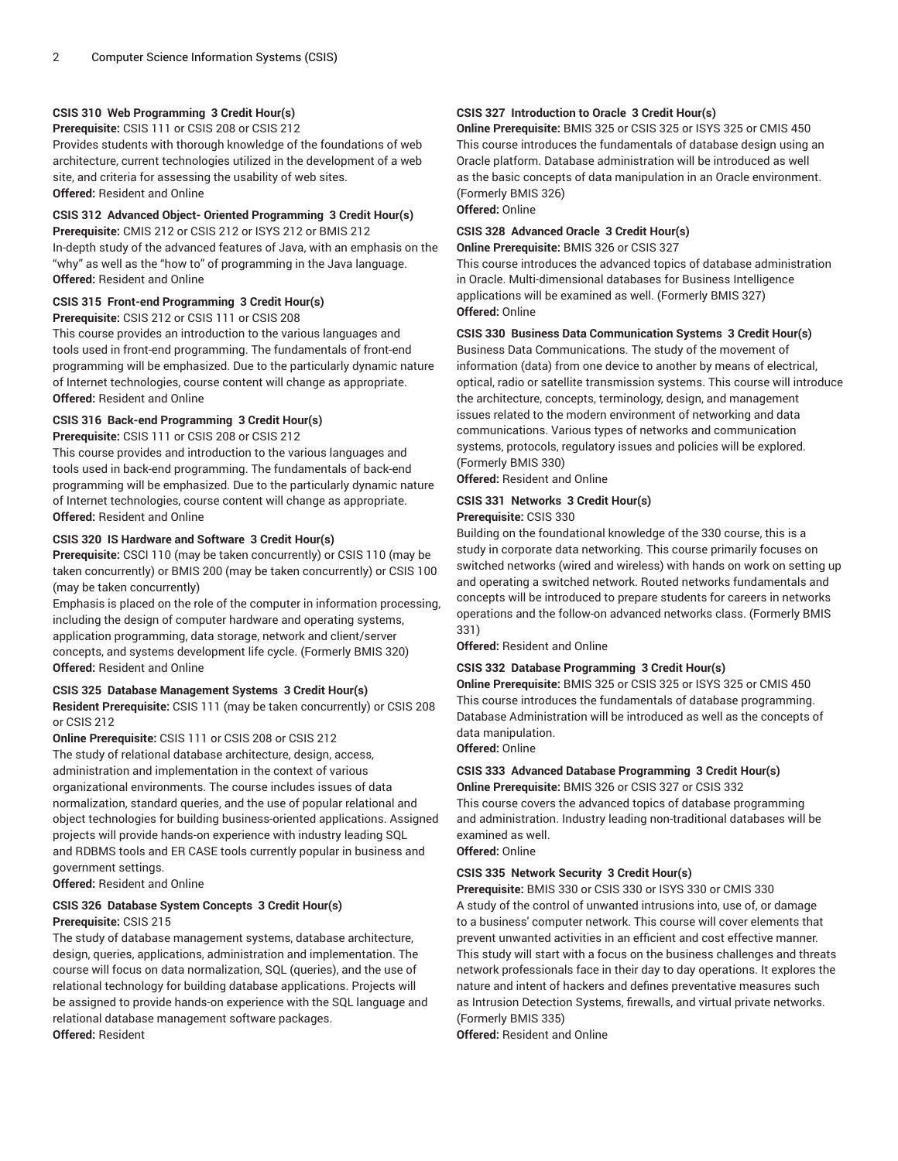# **CSIS 310 Web Programming 3 Credit Hour(s)**

**Prerequisite:** CSIS 111 or CSIS 208 or CSIS 212

Provides students with thorough knowledge of the foundations of web architecture, current technologies utilized in the development of a web site, and criteria for assessing the usability of web sites. **Offered:** Resident and Online

# **CSIS 312 Advanced Object- Oriented Programming 3 Credit Hour(s)**

**Prerequisite:** CMIS 212 or CSIS 212 or ISYS 212 or BMIS 212 In-depth study of the advanced features of Java, with an emphasis on the "why" as well as the "how to" of programming in the Java language. **Offered:** Resident and Online

# **CSIS 315 Front-end Programming 3 Credit Hour(s)**

**Prerequisite:** CSIS 212 or CSIS 111 or CSIS 208

This course provides an introduction to the various languages and tools used in front-end programming. The fundamentals of front-end programming will be emphasized. Due to the particularly dynamic nature of Internet technologies, course content will change as appropriate. **Offered:** Resident and Online

# **CSIS 316 Back-end Programming 3 Credit Hour(s)**

**Prerequisite:** CSIS 111 or CSIS 208 or CSIS 212

This course provides and introduction to the various languages and tools used in back-end programming. The fundamentals of back-end programming will be emphasized. Due to the particularly dynamic nature of Internet technologies, course content will change as appropriate. **Offered:** Resident and Online

# **CSIS 320 IS Hardware and Software 3 Credit Hour(s)**

**Prerequisite:** CSCI 110 (may be taken concurrently) or CSIS 110 (may be taken concurrently) or BMIS 200 (may be taken concurrently) or CSIS 100 (may be taken concurrently)

Emphasis is placed on the role of the computer in information processing, including the design of computer hardware and operating systems, application programming, data storage, network and client/server concepts, and systems development life cycle. (Formerly BMIS 320) **Offered:** Resident and Online

# **CSIS 325 Database Management Systems 3 Credit Hour(s)**

**Resident Prerequisite:** CSIS 111 (may be taken concurrently) or CSIS 208 or CSIS 212

**Online Prerequisite:** CSIS 111 or CSIS 208 or CSIS 212

The study of relational database architecture, design, access, administration and implementation in the context of various organizational environments. The course includes issues of data normalization, standard queries, and the use of popular relational and object technologies for building business-oriented applications. Assigned projects will provide hands-on experience with industry leading SQL and RDBMS tools and ER CASE tools currently popular in business and government settings.

**Offered:** Resident and Online

# **CSIS 326 Database System Concepts 3 Credit Hour(s) Prerequisite:** CSIS 215

The study of database management systems, database architecture, design, queries, applications, administration and implementation. The course will focus on data normalization, SQL (queries), and the use of relational technology for building database applications. Projects will be assigned to provide hands-on experience with the SQL language and relational database management software packages. **Offered:** Resident

# **CSIS 327 Introduction to Oracle 3 Credit Hour(s)**

**Online Prerequisite:** BMIS 325 or CSIS 325 or ISYS 325 or CMIS 450 This course introduces the fundamentals of database design using an Oracle platform. Database administration will be introduced as well as the basic concepts of data manipulation in an Oracle environment. (Formerly BMIS 326) **Offered:** Online

# **CSIS 328 Advanced Oracle 3 Credit Hour(s)**

**Online Prerequisite:** BMIS 326 or CSIS 327

This course introduces the advanced topics of database administration in Oracle. Multi-dimensional databases for Business Intelligence applications will be examined as well. (Formerly BMIS 327) **Offered:** Online

# **CSIS 330 Business Data Communication Systems 3 Credit Hour(s)**

Business Data Communications. The study of the movement of information (data) from one device to another by means of electrical, optical, radio or satellite transmission systems. This course will introduce the architecture, concepts, terminology, design, and management issues related to the modern environment of networking and data communications. Various types of networks and communication systems, protocols, regulatory issues and policies will be explored. (Formerly BMIS 330)

**Offered:** Resident and Online

# **CSIS 331 Networks 3 Credit Hour(s) Prerequisite:** CSIS 330

Building on the foundational knowledge of the 330 course, this is a study in corporate data networking. This course primarily focuses on switched networks (wired and wireless) with hands on work on setting up and operating a switched network. Routed networks fundamentals and concepts will be introduced to prepare students for careers in networks operations and the follow-on advanced networks class. (Formerly BMIS 331)

**Offered:** Resident and Online

# **CSIS 332 Database Programming 3 Credit Hour(s)**

**Online Prerequisite:** BMIS 325 or CSIS 325 or ISYS 325 or CMIS 450 This course introduces the fundamentals of database programming. Database Administration will be introduced as well as the concepts of data manipulation.

**Offered:** Online

# **CSIS 333 Advanced Database Programming 3 Credit Hour(s)**

**Online Prerequisite:** BMIS 326 or CSIS 327 or CSIS 332 This course covers the advanced topics of database programming and administration. Industry leading non-traditional databases will be examined as well.

**Offered:** Online

# **CSIS 335 Network Security 3 Credit Hour(s)**

**Prerequisite:** BMIS 330 or CSIS 330 or ISYS 330 or CMIS 330

A study of the control of unwanted intrusions into, use of, or damage to a business' computer network. This course will cover elements that prevent unwanted activities in an efficient and cost effective manner. This study will start with a focus on the business challenges and threats network professionals face in their day to day operations. It explores the nature and intent of hackers and defines preventative measures such as Intrusion Detection Systems, firewalls, and virtual private networks. (Formerly BMIS 335)

**Offered:** Resident and Online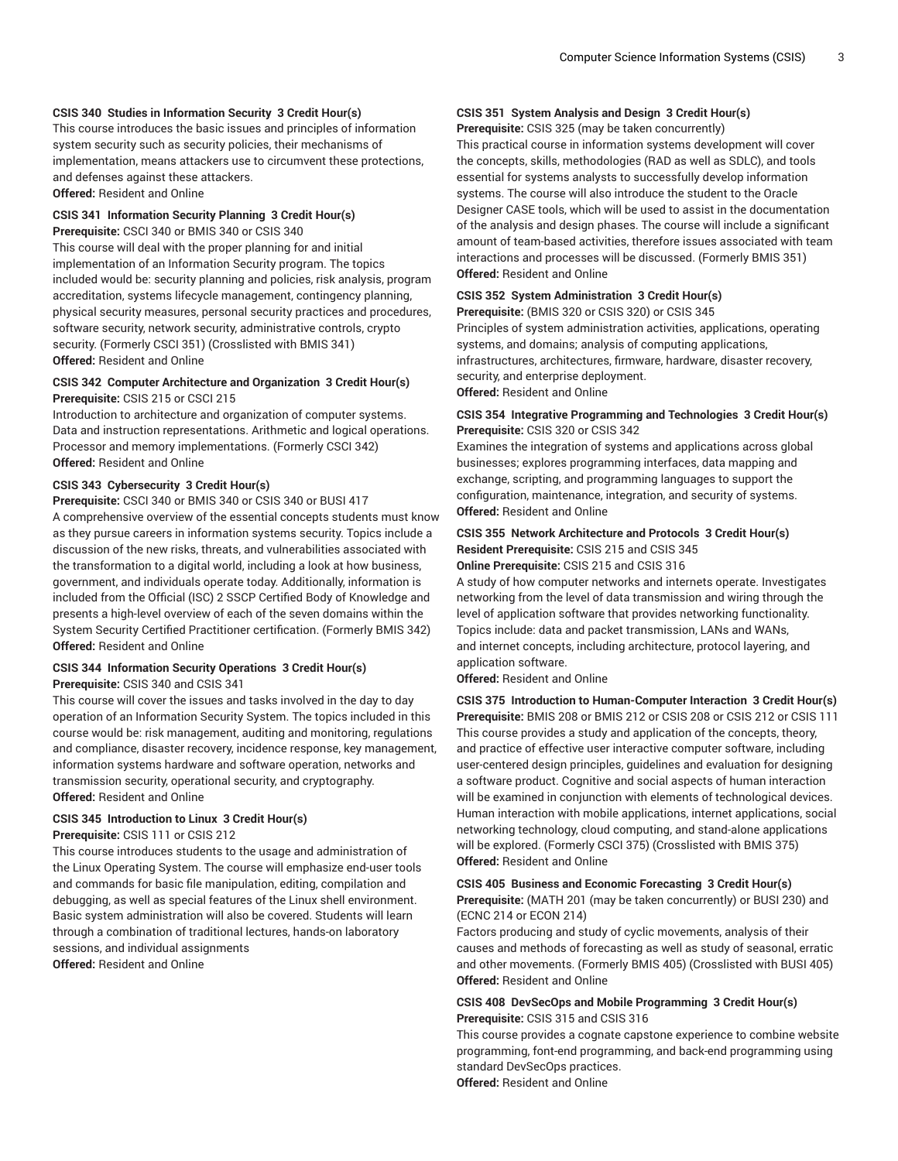#### **CSIS 340 Studies in Information Security 3 Credit Hour(s)**

This course introduces the basic issues and principles of information system security such as security policies, their mechanisms of implementation, means attackers use to circumvent these protections, and defenses against these attackers.

**Offered:** Resident and Online

#### **CSIS 341 Information Security Planning 3 Credit Hour(s) Prerequisite:** CSCI 340 or BMIS 340 or CSIS 340

This course will deal with the proper planning for and initial implementation of an Information Security program. The topics included would be: security planning and policies, risk analysis, program accreditation, systems lifecycle management, contingency planning, physical security measures, personal security practices and procedures, software security, network security, administrative controls, crypto security. (Formerly CSCI 351) (Crosslisted with BMIS 341) **Offered:** Resident and Online

# **CSIS 342 Computer Architecture and Organization 3 Credit Hour(s) Prerequisite:** CSIS 215 or CSCI 215

Introduction to architecture and organization of computer systems. Data and instruction representations. Arithmetic and logical operations. Processor and memory implementations. (Formerly CSCI 342) **Offered:** Resident and Online

#### **CSIS 343 Cybersecurity 3 Credit Hour(s)**

**Prerequisite:** CSCI 340 or BMIS 340 or CSIS 340 or BUSI 417 A comprehensive overview of the essential concepts students must know as they pursue careers in information systems security. Topics include a discussion of the new risks, threats, and vulnerabilities associated with the transformation to a digital world, including a look at how business, government, and individuals operate today. Additionally, information is included from the Official (ISC) 2 SSCP Certified Body of Knowledge and presents a high-level overview of each of the seven domains within the System Security Certified Practitioner certification. (Formerly BMIS 342) **Offered:** Resident and Online

#### **CSIS 344 Information Security Operations 3 Credit Hour(s) Prerequisite:** CSIS 340 and CSIS 341

This course will cover the issues and tasks involved in the day to day operation of an Information Security System. The topics included in this course would be: risk management, auditing and monitoring, regulations and compliance, disaster recovery, incidence response, key management, information systems hardware and software operation, networks and transmission security, operational security, and cryptography. **Offered:** Resident and Online

# **CSIS 345 Introduction to Linux 3 Credit Hour(s)**

**Prerequisite:** CSIS 111 or CSIS 212

This course introduces students to the usage and administration of the Linux Operating System. The course will emphasize end-user tools and commands for basic file manipulation, editing, compilation and debugging, as well as special features of the Linux shell environment. Basic system administration will also be covered. Students will learn through a combination of traditional lectures, hands-on laboratory sessions, and individual assignments **Offered:** Resident and Online

# **CSIS 351 System Analysis and Design 3 Credit Hour(s) Prerequisite:** CSIS 325 (may be taken concurrently)

This practical course in information systems development will cover the concepts, skills, methodologies (RAD as well as SDLC), and tools essential for systems analysts to successfully develop information systems. The course will also introduce the student to the Oracle Designer CASE tools, which will be used to assist in the documentation of the analysis and design phases. The course will include a significant amount of team-based activities, therefore issues associated with team interactions and processes will be discussed. (Formerly BMIS 351) **Offered:** Resident and Online

#### **CSIS 352 System Administration 3 Credit Hour(s)**

**Prerequisite:** (BMIS 320 or CSIS 320) or CSIS 345 Principles of system administration activities, applications, operating systems, and domains; analysis of computing applications, infrastructures, architectures, firmware, hardware, disaster recovery, security, and enterprise deployment. **Offered:** Resident and Online

#### **CSIS 354 Integrative Programming and Technologies 3 Credit Hour(s) Prerequisite:** CSIS 320 or CSIS 342

Examines the integration of systems and applications across global businesses; explores programming interfaces, data mapping and exchange, scripting, and programming languages to support the configuration, maintenance, integration, and security of systems. **Offered:** Resident and Online

# **CSIS 355 Network Architecture and Protocols 3 Credit Hour(s) Resident Prerequisite:** CSIS 215 and CSIS 345 **Online Prerequisite:** CSIS 215 and CSIS 316

A study of how computer networks and internets operate. Investigates networking from the level of data transmission and wiring through the level of application software that provides networking functionality. Topics include: data and packet transmission, LANs and WANs, and internet concepts, including architecture, protocol layering, and application software.

**Offered:** Resident and Online

# **CSIS 375 Introduction to Human-Computer Interaction 3 Credit Hour(s) Prerequisite:** BMIS 208 or BMIS 212 or CSIS 208 or CSIS 212 or CSIS 111 This course provides a study and application of the concepts, theory, and practice of effective user interactive computer software, including user-centered design principles, guidelines and evaluation for designing a software product. Cognitive and social aspects of human interaction will be examined in conjunction with elements of technological devices. Human interaction with mobile applications, internet applications, social networking technology, cloud computing, and stand-alone applications will be explored. (Formerly CSCI 375) (Crosslisted with BMIS 375) **Offered:** Resident and Online

# **CSIS 405 Business and Economic Forecasting 3 Credit Hour(s) Prerequisite:** (MATH 201 (may be taken concurrently) or BUSI 230) and (ECNC 214 or ECON 214)

Factors producing and study of cyclic movements, analysis of their causes and methods of forecasting as well as study of seasonal, erratic and other movements. (Formerly BMIS 405) (Crosslisted with BUSI 405) **Offered:** Resident and Online

# **CSIS 408 DevSecOps and Mobile Programming 3 Credit Hour(s) Prerequisite:** CSIS 315 and CSIS 316

This course provides a cognate capstone experience to combine website programming, font-end programming, and back-end programming using standard DevSecOps practices.

**Offered:** Resident and Online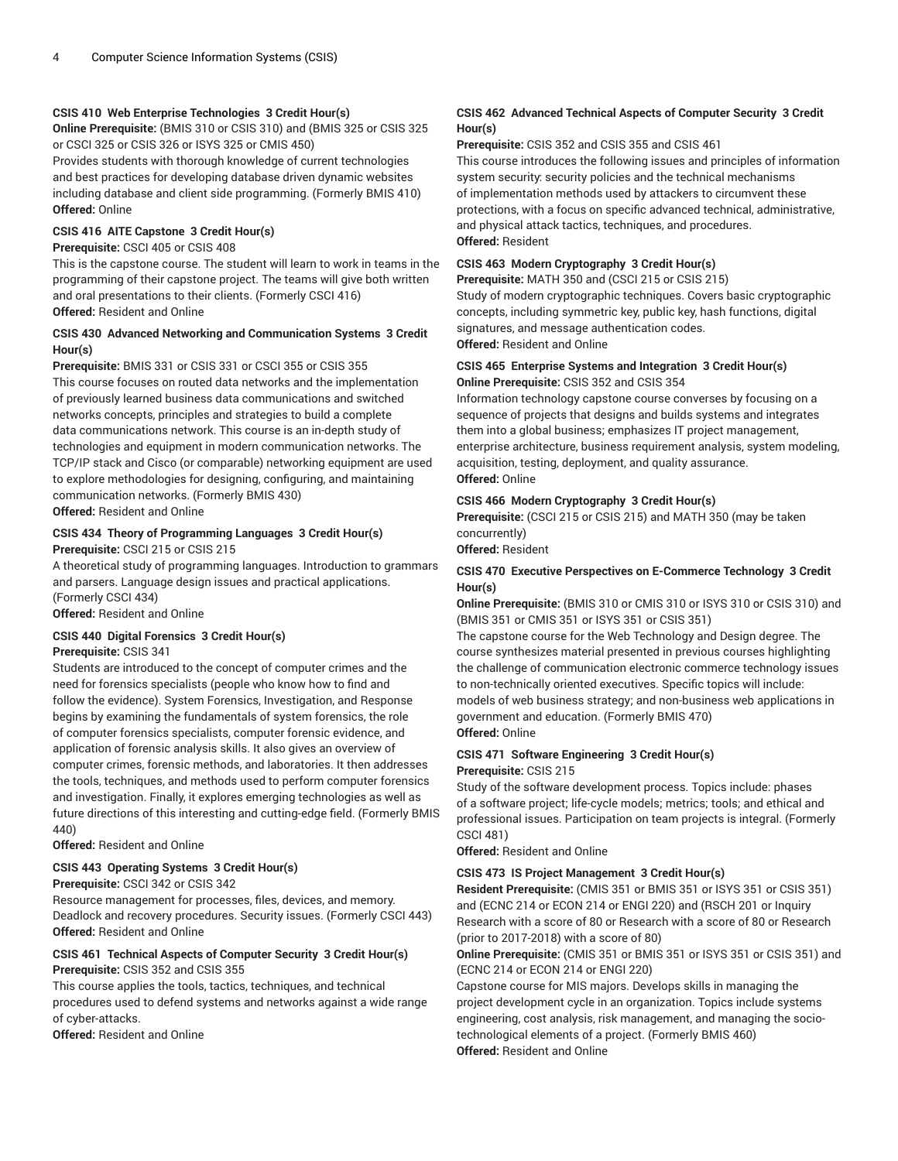# **CSIS 410 Web Enterprise Technologies 3 Credit Hour(s)**

**Online Prerequisite:** (BMIS 310 or CSIS 310) and (BMIS 325 or CSIS 325 or CSCI 325 or CSIS 326 or ISYS 325 or CMIS 450)

Provides students with thorough knowledge of current technologies and best practices for developing database driven dynamic websites including database and client side programming. (Formerly BMIS 410) **Offered:** Online

#### **CSIS 416 AITE Capstone 3 Credit Hour(s)**

#### **Prerequisite:** CSCI 405 or CSIS 408

This is the capstone course. The student will learn to work in teams in the programming of their capstone project. The teams will give both written and oral presentations to their clients. (Formerly CSCI 416) **Offered:** Resident and Online

# **CSIS 430 Advanced Networking and Communication Systems 3 Credit Hour(s)**

**Prerequisite:** BMIS 331 or CSIS 331 or CSCI 355 or CSIS 355 This course focuses on routed data networks and the implementation of previously learned business data communications and switched networks concepts, principles and strategies to build a complete data communications network. This course is an in-depth study of technologies and equipment in modern communication networks. The TCP/IP stack and Cisco (or comparable) networking equipment are used to explore methodologies for designing, configuring, and maintaining communication networks. (Formerly BMIS 430) **Offered:** Resident and Online

# **CSIS 434 Theory of Programming Languages 3 Credit Hour(s)**

**Prerequisite:** CSCI 215 or CSIS 215

A theoretical study of programming languages. Introduction to grammars and parsers. Language design issues and practical applications. (Formerly CSCI 434)

**Offered:** Resident and Online

# **CSIS 440 Digital Forensics 3 Credit Hour(s) Prerequisite:** CSIS 341

Students are introduced to the concept of computer crimes and the need for forensics specialists (people who know how to find and follow the evidence). System Forensics, Investigation, and Response begins by examining the fundamentals of system forensics, the role of computer forensics specialists, computer forensic evidence, and application of forensic analysis skills. It also gives an overview of computer crimes, forensic methods, and laboratories. It then addresses the tools, techniques, and methods used to perform computer forensics and investigation. Finally, it explores emerging technologies as well as future directions of this interesting and cutting-edge field. (Formerly BMIS 440)

**Offered:** Resident and Online

# **CSIS 443 Operating Systems 3 Credit Hour(s)**

**Prerequisite:** CSCI 342 or CSIS 342

Resource management for processes, files, devices, and memory. Deadlock and recovery procedures. Security issues. (Formerly CSCI 443) **Offered:** Resident and Online

# **CSIS 461 Technical Aspects of Computer Security 3 Credit Hour(s) Prerequisite:** CSIS 352 and CSIS 355

This course applies the tools, tactics, techniques, and technical procedures used to defend systems and networks against a wide range of cyber-attacks.

**Offered:** Resident and Online

# **CSIS 462 Advanced Technical Aspects of Computer Security 3 Credit Hour(s)**

**Prerequisite:** CSIS 352 and CSIS 355 and CSIS 461

This course introduces the following issues and principles of information system security: security policies and the technical mechanisms of implementation methods used by attackers to circumvent these protections, with a focus on specific advanced technical, administrative, and physical attack tactics, techniques, and procedures. **Offered:** Resident

# **CSIS 463 Modern Cryptography 3 Credit Hour(s)**

**Prerequisite:** MATH 350 and (CSCI 215 or CSIS 215) Study of modern cryptographic techniques. Covers basic cryptographic concepts, including symmetric key, public key, hash functions, digital signatures, and message authentication codes. **Offered:** Resident and Online

# **CSIS 465 Enterprise Systems and Integration 3 Credit Hour(s) Online Prerequisite:** CSIS 352 and CSIS 354

Information technology capstone course converses by focusing on a sequence of projects that designs and builds systems and integrates them into a global business; emphasizes IT project management, enterprise architecture, business requirement analysis, system modeling, acquisition, testing, deployment, and quality assurance. **Offered:** Online

# **CSIS 466 Modern Cryptography 3 Credit Hour(s)**

**Prerequisite:** (CSCI 215 or CSIS 215) and MATH 350 (may be taken concurrently)

**Offered:** Resident

# **CSIS 470 Executive Perspectives on E-Commerce Technology 3 Credit Hour(s)**

**Online Prerequisite:** (BMIS 310 or CMIS 310 or ISYS 310 or CSIS 310) and (BMIS 351 or CMIS 351 or ISYS 351 or CSIS 351)

The capstone course for the Web Technology and Design degree. The course synthesizes material presented in previous courses highlighting the challenge of communication electronic commerce technology issues to non-technically oriented executives. Specific topics will include: models of web business strategy; and non-business web applications in government and education. (Formerly BMIS 470) **Offered:** Online

#### **CSIS 471 Software Engineering 3 Credit Hour(s) Prerequisite:** CSIS 215

Study of the software development process. Topics include: phases of a software project; life-cycle models; metrics; tools; and ethical and professional issues. Participation on team projects is integral. (Formerly CSCI 481)

**Offered:** Resident and Online

# **CSIS 473 IS Project Management 3 Credit Hour(s)**

**Resident Prerequisite:** (CMIS 351 or BMIS 351 or ISYS 351 or CSIS 351) and (ECNC 214 or ECON 214 or ENGI 220) and (RSCH 201 or Inquiry Research with a score of 80 or Research with a score of 80 or Research (prior to 2017-2018) with a score of 80)

**Online Prerequisite:** (CMIS 351 or BMIS 351 or ISYS 351 or CSIS 351) and (ECNC 214 or ECON 214 or ENGI 220)

Capstone course for MIS majors. Develops skills in managing the project development cycle in an organization. Topics include systems engineering, cost analysis, risk management, and managing the sociotechnological elements of a project. (Formerly BMIS 460) **Offered:** Resident and Online